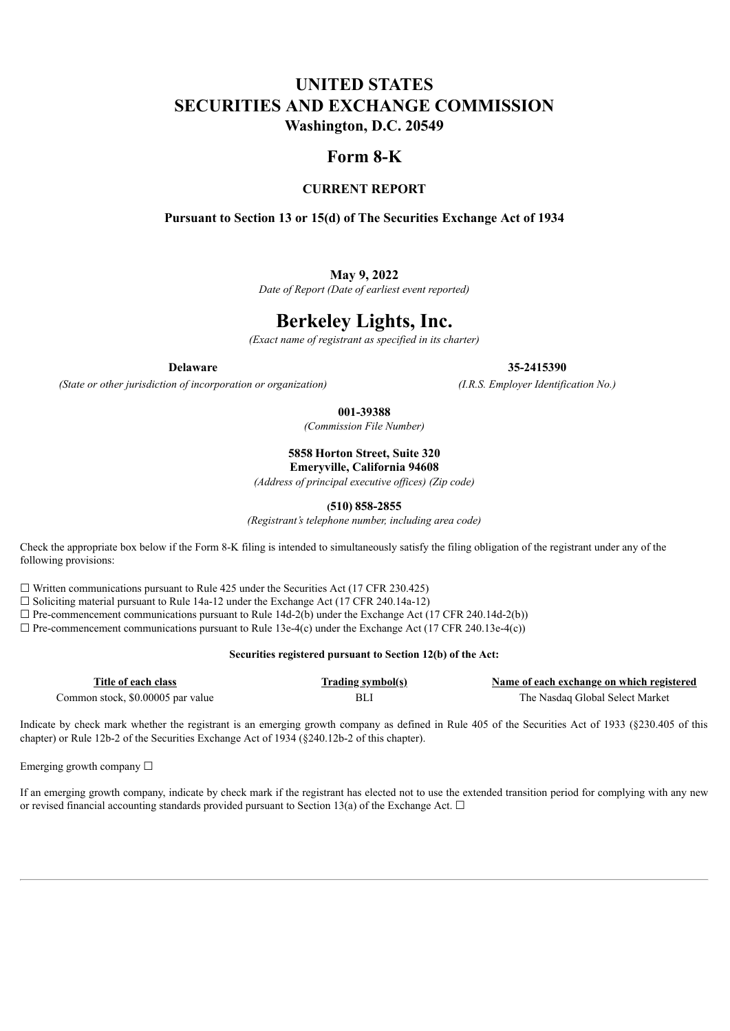# **UNITED STATES SECURITIES AND EXCHANGE COMMISSION Washington, D.C. 20549**

# **Form 8-K**

### **CURRENT REPORT**

**Pursuant to Section 13 or 15(d) of The Securities Exchange Act of 1934**

#### **May 9, 2022**

*Date of Report (Date of earliest event reported)*

# **Berkeley Lights, Inc.**

*(Exact name of registrant as specified in its charter)*

*(State or other jurisdiction of incorporation or organization) (I.R.S. Employer Identification No.)*

**Delaware 35-2415390**

### **001-39388**

*(Commission File Number)*

#### **5858 Horton Street, Suite 320 Emeryville, California 94608**

*(Address of principal executive of ices) (Zip code)*

#### **(510) 858-2855**

*(Registrant's telephone number, including area code)*

Check the appropriate box below if the Form 8-K filing is intended to simultaneously satisfy the filing obligation of the registrant under any of the following provisions:

 $\Box$  Written communications pursuant to Rule 425 under the Securities Act (17 CFR 230.425)

 $\Box$  Soliciting material pursuant to Rule 14a-12 under the Exchange Act (17 CFR 240.14a-12)

 $\Box$  Pre-commencement communications pursuant to Rule 14d-2(b) under the Exchange Act (17 CFR 240.14d-2(b))

 $\Box$  Pre-commencement communications pursuant to Rule 13e-4(c) under the Exchange Act (17 CFR 240.13e-4(c))

#### **Securities registered pursuant to Section 12(b) of the Act:**

| Title of each class               | <b>Trading symbol(s)</b> | Name of each exchange on which registered |
|-----------------------------------|--------------------------|-------------------------------------------|
| Common stock, \$0.00005 par value | BL                       | The Nasdag Global Select Market           |

Indicate by check mark whether the registrant is an emerging growth company as defined in Rule 405 of the Securities Act of 1933 (§230.405 of this chapter) or Rule 12b-2 of the Securities Exchange Act of 1934 (§240.12b-2 of this chapter).

Emerging growth company ☐

If an emerging growth company, indicate by check mark if the registrant has elected not to use the extended transition period for complying with any new or revised financial accounting standards provided pursuant to Section 13(a) of the Exchange Act.  $\Box$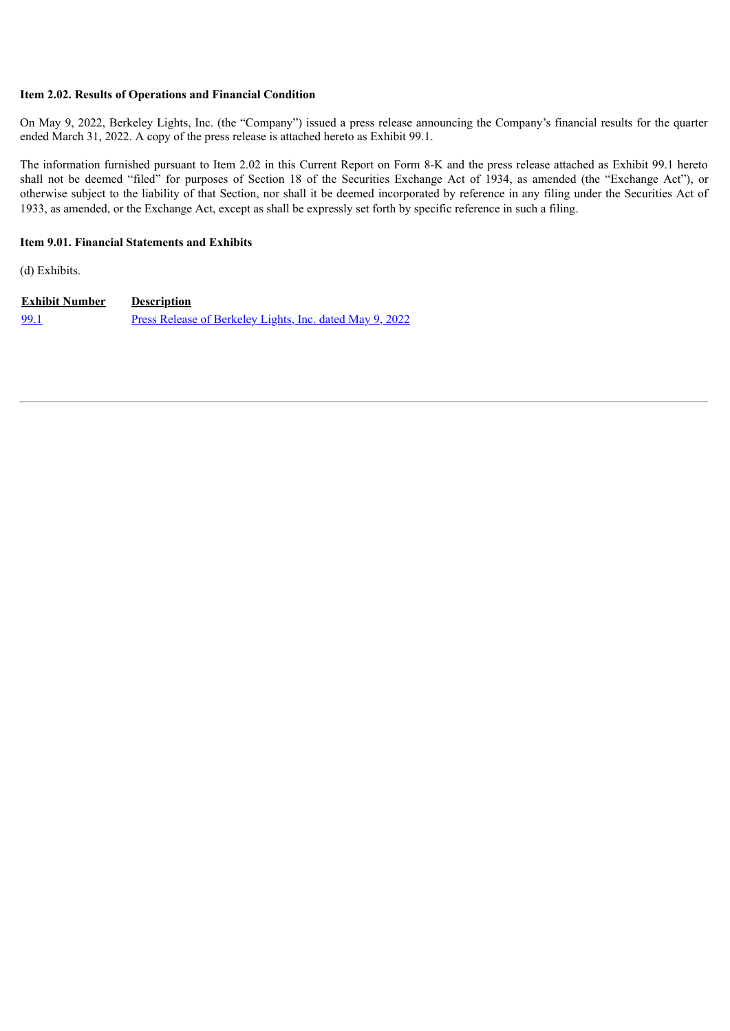#### **Item 2.02. Results of Operations and Financial Condition**

On May 9, 2022, Berkeley Lights, Inc. (the "Company") issued a press release announcing the Company's financial results for the quarter ended March 31, 2022. A copy of the press release is attached hereto as Exhibit 99.1.

The information furnished pursuant to Item 2.02 in this Current Report on Form 8-K and the press release attached as Exhibit 99.1 hereto shall not be deemed "filed" for purposes of Section 18 of the Securities Exchange Act of 1934, as amended (the "Exchange Act"), or otherwise subject to the liability of that Section, nor shall it be deemed incorporated by reference in any filing under the Securities Act of 1933, as amended, or the Exchange Act, except as shall be expressly set forth by specific reference in such a filing.

#### **Item 9.01. Financial Statements and Exhibits**

(d) Exhibits.

**Exhibit Number Description** [99.1](#page-3-0) Press Release of [Berkeley](#page-3-0) Lights, Inc. dated May [9,](#page-3-0) [2022](#page-3-0)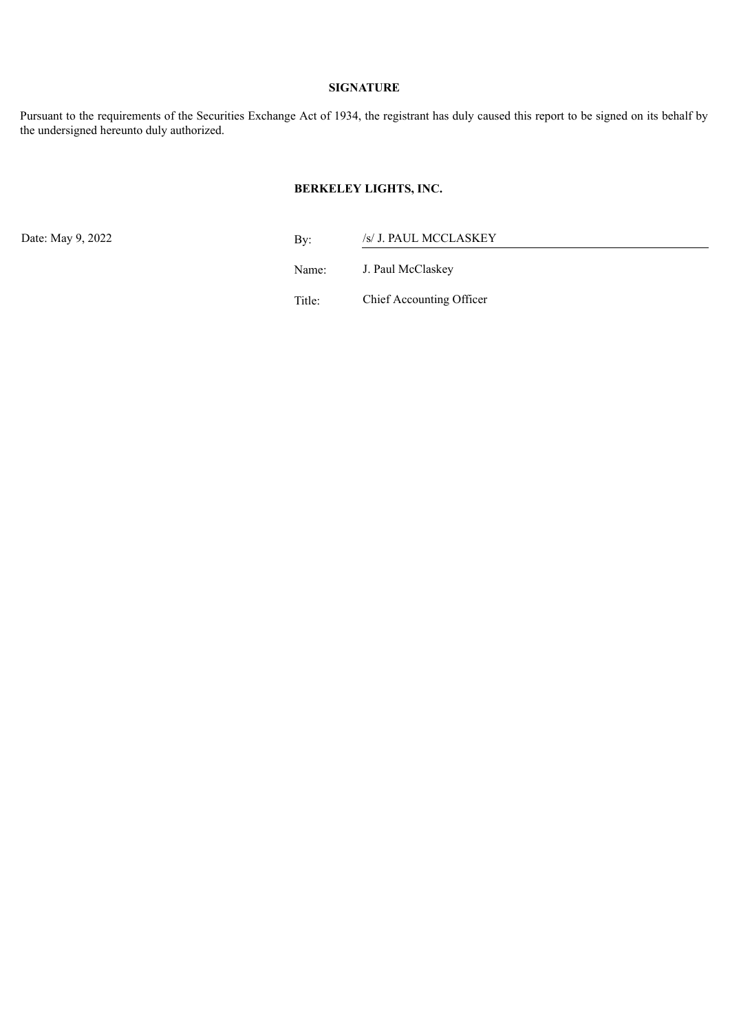## **SIGNATURE**

Pursuant to the requirements of the Securities Exchange Act of 1934, the registrant has duly caused this report to be signed on its behalf by the undersigned hereunto duly authorized.

### **BERKELEY LIGHTS, INC.**

Date: May 9, 2022 By: /s/ J. PAUL MCCLASKEY

Name: J. Paul McClaskey

Title: Chief Accounting Officer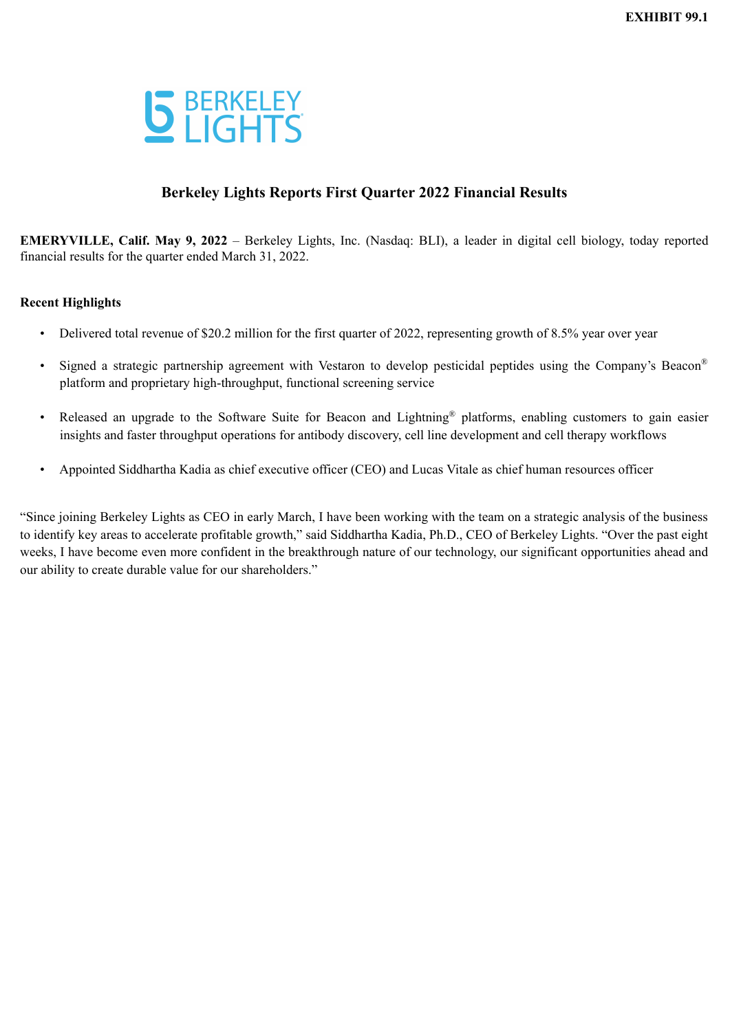<span id="page-3-0"></span>

# **Berkeley Lights Reports First Quarter 2022 Financial Results**

**EMERYVILLE, Calif. May 9, 2022** – Berkeley Lights, Inc. (Nasdaq: BLI), a leader in digital cell biology, today reported financial results for the quarter ended March 31, 2022.

## **Recent Highlights**

- Delivered total revenue of \$20.2 million for the first quarter of 2022, representing growth of 8.5% year over year
- Signed a strategic partnership agreement with Vestaron to develop pesticidal peptides using the Company's Beacon® platform and proprietary high-throughput, functional screening service
- Released an upgrade to the Software Suite for Beacon and Lightning<sup>®</sup> platforms, enabling customers to gain easier insights and faster throughput operations for antibody discovery, cell line development and cell therapy workflows
- Appointed Siddhartha Kadia as chief executive officer (CEO) and Lucas Vitale as chief human resources officer

"Since joining Berkeley Lights as CEO in early March, I have been working with the team on a strategic analysis of the business to identify key areas to accelerate profitable growth," said Siddhartha Kadia, Ph.D., CEO of Berkeley Lights. "Over the past eight weeks, I have become even more confident in the breakthrough nature of our technology, our significant opportunities ahead and our ability to create durable value for our shareholders."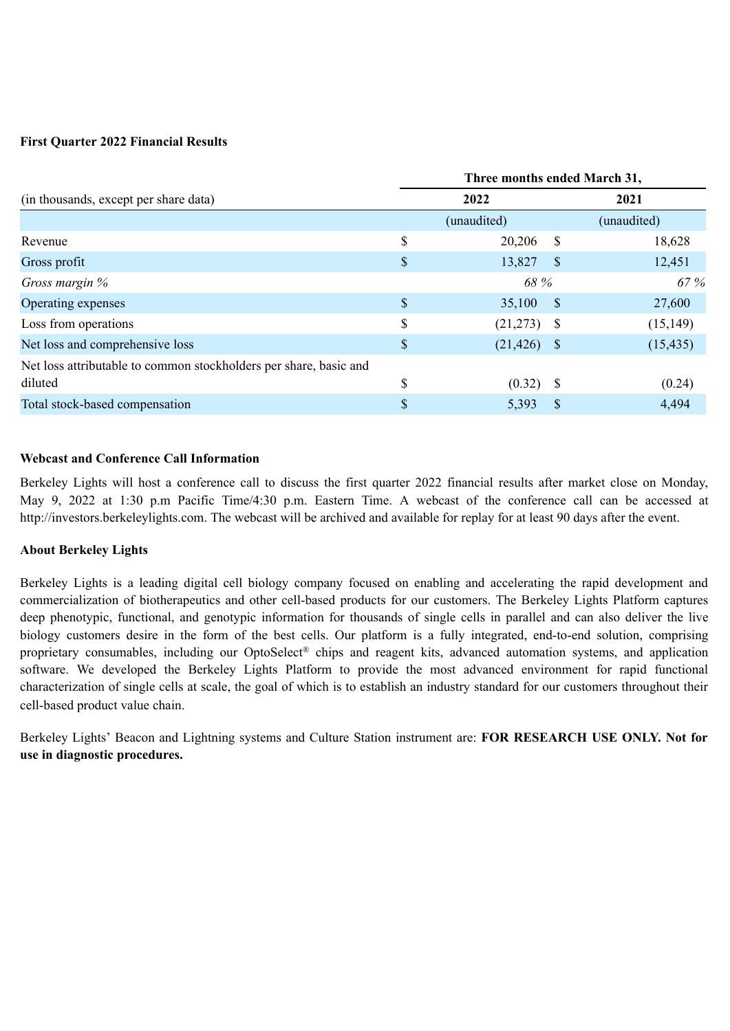## **First Quarter 2022 Financial Results**

|                                                                   | Three months ended March 31, |                |                |             |  |  |
|-------------------------------------------------------------------|------------------------------|----------------|----------------|-------------|--|--|
| (in thousands, except per share data)                             |                              | 2022           | 2021           |             |  |  |
|                                                                   |                              | (unaudited)    |                | (unaudited) |  |  |
| Revenue                                                           | \$                           | 20,206         | - \$           | 18,628      |  |  |
| Gross profit                                                      | \$                           | 13,827         | $\mathcal{S}$  | 12,451      |  |  |
| Gross margin %                                                    |                              | 68 %           |                | 67 %        |  |  |
| Operating expenses                                                | \$                           | 35,100         | $-\mathsf{\$}$ | 27,600      |  |  |
| Loss from operations                                              | \$                           | $(21,273)$ \$  |                | (15, 149)   |  |  |
| Net loss and comprehensive loss                                   | \$                           | $(21, 426)$ \$ |                | (15, 435)   |  |  |
| Net loss attributable to common stockholders per share, basic and |                              |                |                |             |  |  |
| diluted                                                           | S                            | $(0.32)$ \$    |                | (0.24)      |  |  |
| Total stock-based compensation                                    | \$                           | 5,393          | S              | 4,494       |  |  |

## **Webcast and Conference Call Information**

Berkeley Lights will host a conference call to discuss the first quarter 2022 financial results after market close on Monday, May 9, 2022 at 1:30 p.m Pacific Time/4:30 p.m. Eastern Time. A webcast of the conference call can be accessed at http://investors.berkeleylights.com. The webcast will be archived and available for replay for at least 90 days after the event.

## **About Berkeley Lights**

Berkeley Lights is a leading digital cell biology company focused on enabling and accelerating the rapid development and commercialization of biotherapeutics and other cell-based products for our customers. The Berkeley Lights Platform captures deep phenotypic, functional, and genotypic information for thousands of single cells in parallel and can also deliver the live biology customers desire in the form of the best cells. Our platform is a fully integrated, end-to-end solution, comprising proprietary consumables, including our OptoSelect® chips and reagent kits, advanced automation systems, and application software. We developed the Berkeley Lights Platform to provide the most advanced environment for rapid functional characterization of single cells at scale, the goal of which is to establish an industry standard for our customers throughout their cell-based product value chain.

Berkeley Lights' Beacon and Lightning systems and Culture Station instrument are: **FOR RESEARCH USE ONLY. Not for use in diagnostic procedures.**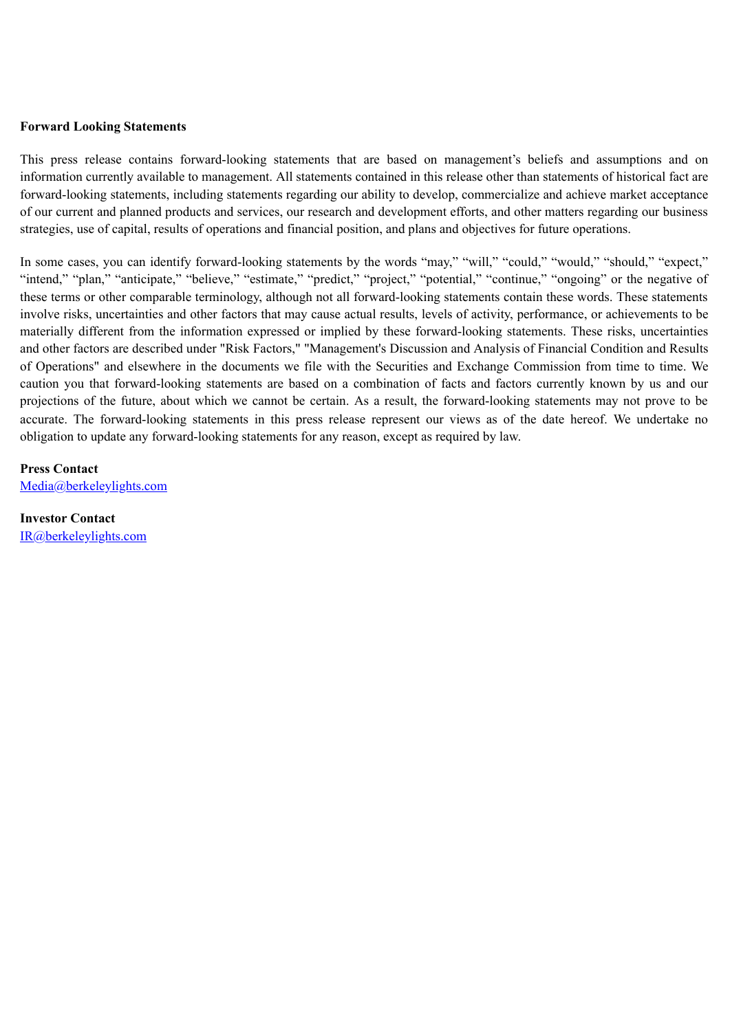## **Forward Looking Statements**

This press release contains forward-looking statements that are based on management's beliefs and assumptions and on information currently available to management. All statements contained in this release other than statements of historical fact are forward-looking statements, including statements regarding our ability to develop, commercialize and achieve market acceptance of our current and planned products and services, our research and development efforts, and other matters regarding our business strategies, use of capital, results of operations and financial position, and plans and objectives for future operations.

In some cases, you can identify forward-looking statements by the words "may," "will," "could," "would," "should," "expect," "intend," "plan," "anticipate," "believe," "estimate," "predict," "project," "potential," "continue," "ongoing" or the negative of these terms or other comparable terminology, although not all forward-looking statements contain these words. These statements involve risks, uncertainties and other factors that may cause actual results, levels of activity, performance, or achievements to be materially different from the information expressed or implied by these forward-looking statements. These risks, uncertainties and other factors are described under "Risk Factors," "Management's Discussion and Analysis of Financial Condition and Results of Operations" and elsewhere in the documents we file with the Securities and Exchange Commission from time to time. We caution you that forward-looking statements are based on a combination of facts and factors currently known by us and our projections of the future, about which we cannot be certain. As a result, the forward-looking statements may not prove to be accurate. The forward-looking statements in this press release represent our views as of the date hereof. We undertake no obligation to update any forward-looking statements for any reason, except as required by law.

**Press Contact** Media@berkeleylights.com

**Investor Contact** IR@berkeleylights.com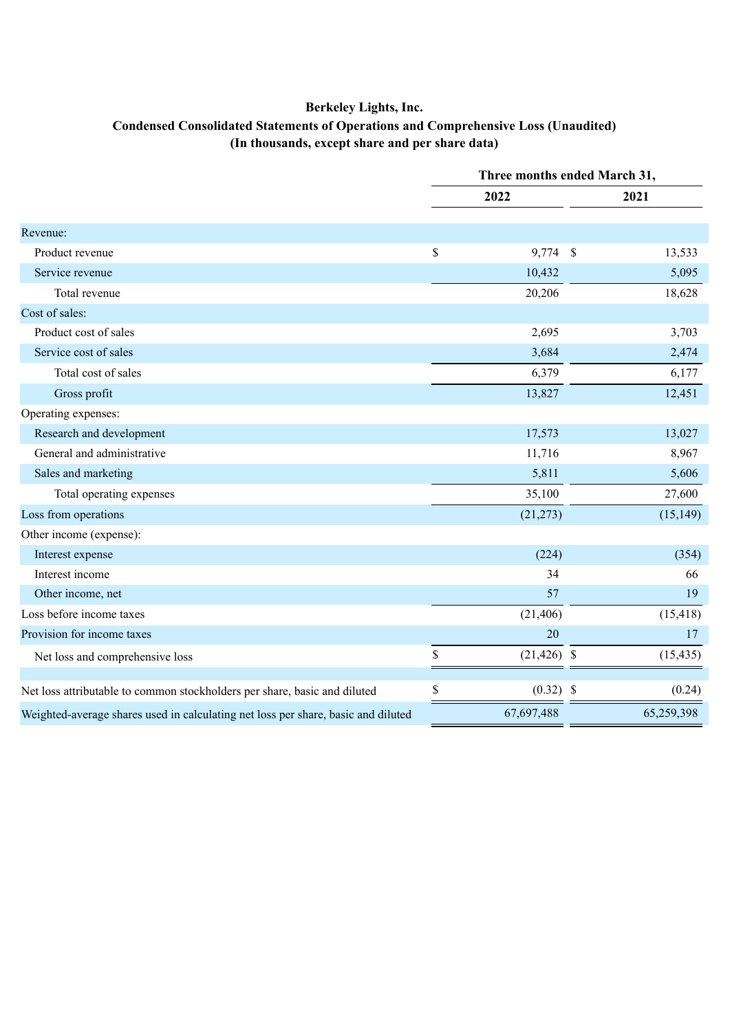# **Berkeley Lights, Inc. Condensed Consolidated Statements of Operations and Comprehensive Loss (Unaudited) (In thousands, except share and per share data)**

|                                                                                   |    | Three months ended March 31, |              |            |  |
|-----------------------------------------------------------------------------------|----|------------------------------|--------------|------------|--|
|                                                                                   |    | 2022                         |              | 2021       |  |
| Revenue:                                                                          |    |                              |              |            |  |
| Product revenue                                                                   | \$ | 9,774                        | $\mathbb{S}$ | 13,533     |  |
| Service revenue                                                                   |    | 10,432                       |              | 5,095      |  |
| Total revenue                                                                     |    | 20,206                       |              | 18,628     |  |
| Cost of sales:                                                                    |    |                              |              |            |  |
| Product cost of sales                                                             |    | 2,695                        |              | 3,703      |  |
| Service cost of sales                                                             |    | 3,684                        |              | 2,474      |  |
| Total cost of sales                                                               |    | 6,379                        |              | 6,177      |  |
| Gross profit                                                                      |    | 13,827                       |              | 12,451     |  |
| Operating expenses:                                                               |    |                              |              |            |  |
| Research and development                                                          |    | 17,573                       |              | 13,027     |  |
| General and administrative                                                        |    | 11,716                       |              | 8,967      |  |
| Sales and marketing                                                               |    | 5,811                        |              | 5,606      |  |
| Total operating expenses                                                          |    | 35,100                       |              | 27,600     |  |
| Loss from operations                                                              |    | (21, 273)                    |              | (15, 149)  |  |
| Other income (expense):                                                           |    |                              |              |            |  |
| Interest expense                                                                  |    | (224)                        |              | (354)      |  |
| Interest income                                                                   |    | 34                           |              | 66         |  |
| Other income, net                                                                 |    | 57                           |              | 19         |  |
| Loss before income taxes                                                          |    | (21, 406)                    |              | (15, 418)  |  |
| Provision for income taxes                                                        |    | 20                           |              | 17         |  |
| Net loss and comprehensive loss                                                   | \$ | $(21, 426)$ \$               |              | (15, 435)  |  |
| Net loss attributable to common stockholders per share, basic and diluted         | \$ | $(0.32)$ \$                  |              | (0.24)     |  |
| Weighted-average shares used in calculating net loss per share, basic and diluted |    | 67,697,488                   |              | 65,259,398 |  |